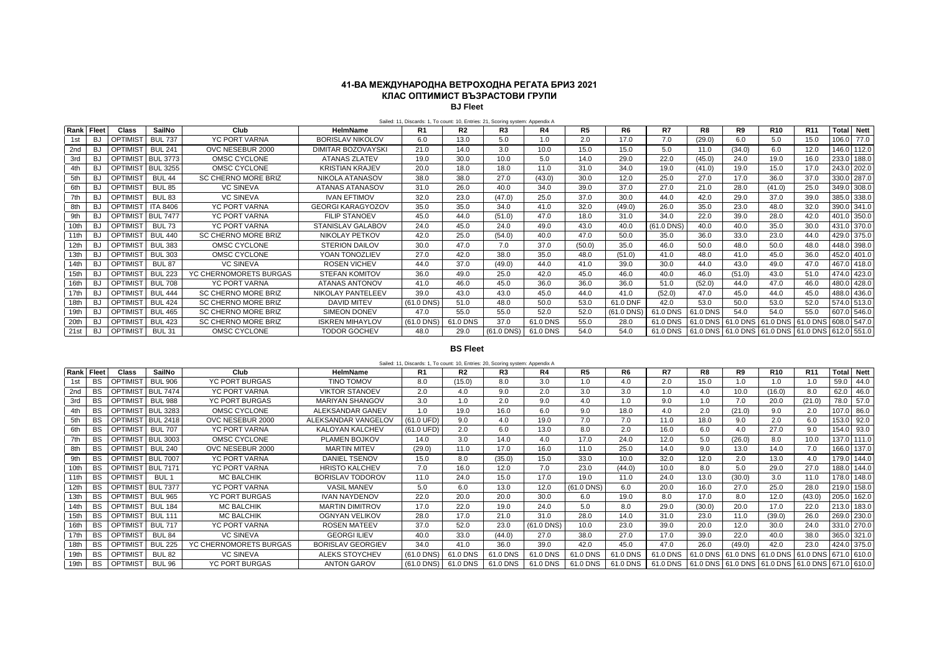## **41-ВА МЕЖДУНАРОДНА ВЕТРОХОДНА РЕГАТА БРИЗ 2021 КЛАС ОПТИМИСТ ВЪЗРАСТОВИ ГРУПИ BJ Fleet**

| <b>SailNo</b><br>Club<br>R <sub>1</sub><br>R2<br>R4<br>R5<br>R7<br>R8<br><b>Total Nett</b><br>R3<br>R6<br>R9<br><b>R10</b><br>R <sub>11</sub><br>Class<br><b>HelmName</b><br>Rank<br>Fleet<br><b>BUL 737</b><br>YC PORT VARNA<br>106.0 77.0<br><b>OPTIMIST</b><br><b>BORISLAV NIKOLOV</b><br>13.0<br>1.0<br>2.0<br>17.0<br>7.0<br>(29.0)<br>6.0<br>15.0<br>BJ<br>6.0<br>5.0<br>5.0<br>1st<br><b>BUL 241</b><br>146.0 112.0<br>BJ<br>21.0<br>3.0<br>10.0<br>15.0<br>5.0<br>(34.0)<br>12.0<br>2nd<br>OPTIMIS <sup>-</sup><br>OVC NESEBUR 2000<br>DIMITAR BOZOVAYSKI<br>14.0<br>15.0<br>11.0<br>6.0<br><b>BUL 3773</b><br>22.0<br>233.0 188.0<br>OMSC CYCLONE<br>30.0<br>10.0<br>5.0<br>29.0<br>(45.0)<br>19.0<br>16.0<br>3rd<br>OPTIMIST<br><b>ATANAS ZLATEV</b><br>19.0<br>14.0<br>24.0<br>BJ<br><b>BUL 3255</b><br>20.0<br>19.0<br>243.0 202.0<br><b>BJ</b><br><b>OPTIMIST</b><br>OMSC CYCLONE<br><b>KRISTIAN KRAJEV</b><br>18.0<br>18.0<br>11.0<br>31.0<br>34.0<br>19.0<br>(41.0)<br>15.0<br>17.0<br>4th<br><b>OPTIMIS</b><br><b>SC CHERNO MORE BRIZ</b><br>38.0<br>27.0<br>30.0<br>25.0<br>27.0<br>17.0<br>37.0<br>330.0 287.0<br>5th<br>BJ<br><b>BUL 44</b><br>NIKOLA ATANASOV<br>38.0<br>(43.0)<br>12.0<br>36.0<br><b>OPTIMIS</b><br><b>BUL 85</b><br><b>VC SINEVA</b><br>39.0<br>27.0<br>21.0<br>28.0<br>349.0 308.0<br><b>BJ</b><br><b>ATANAS ATANASOV</b><br>31.0<br>26.0<br>34.0<br>37.0<br>(41.0)<br>25.0<br>6th<br>40.0<br><b>VC SINEVA</b><br><b>OPTIMIST</b><br><b>IVAN EFTIMOV</b><br>(47.0)<br>25.0<br>37.0<br>30.0<br>42.0<br>29.0<br>385.0 338.0<br>7th<br>BJ<br><b>BUL 83</b><br>32.0<br>23.0<br>44.0<br>37.0<br>39.0<br><b>ITA 8406</b><br>35.0<br>23.0<br>32.0<br>390.0 341.0<br><b>OPTIMIST</b><br><b>YC PORT VARNA</b><br><b>GEORGI KARAGYOZOV</b><br>35.0<br>35.0<br>41.0<br>32.0<br>(49.0)<br>26.0<br>48.0<br>8th<br>BJ<br>34.0<br>401.0 350.0<br><b>BUL 7477</b><br>47.0<br>34.0<br>22.0<br>39.0<br>42.0<br>9th<br>BJ<br><b>OPTIMIST</b><br><b>YC PORT VARNA</b><br><b>FILIP STANOEV</b><br>45.0<br>44.0<br>(51.0)<br>18.0<br>31.0<br>28.0<br>431.0 370.0<br>10th<br><b>BUL 73</b><br>YC PORT VARNA<br>24.0<br>49.0<br>43.0<br>$(61.0$ DNS)<br>40.0<br>40.0<br>35.0<br>30.0<br><b>BJ</b><br><b>OPTIMIS</b><br><b>STANISLAV GALABOV</b><br>45.0<br>24.0<br>40.0<br>429.0 375.0<br><b>BUL 440</b><br>25.0<br>47.0<br>36.0<br>33.0<br>23.0<br>11th<br><b>BJ</b><br><b>OPTIMIST</b><br><b>SC CHERNO MORE BRIZ</b><br>NIKOLAY PETKOV<br>42.0<br>(54.0)<br>40.0<br>50.0<br>35.0<br>44.0<br><b>BUL 383</b><br>12th<br><b>OPTIMIS</b><br>OMSC CYCLONE<br>37.0<br>(50.0)<br>48.0<br>448.0 398.0<br>BJ<br><b>STERION DAILOV</b><br>30.0<br>47.0<br>35.0<br>46.0<br>50.0<br>50.0<br>48.0<br>7.0<br><b>OPTIMIS</b><br><b>BUL 303</b><br>452.0 401.0<br>13th<br>OMSC CYCLONE<br>YOAN TONOZLIEV<br>27.0<br>38.0<br>35.0<br>48.0<br>41.0<br>36.0<br><b>BJ</b><br>42.0<br>48.0<br>(51.0)<br>41.0<br>45.0<br><b>VC SINEVA</b><br><b>ROSEN VICHEV</b><br>37.0<br>30.0<br>44.0<br>43.0<br>467.0 418.0<br>BJ<br>OPTIMIS <sup>-</sup><br><b>BUL 87</b><br>44.0<br>(49.0)<br>44.0<br>41.0<br>39.0<br>49.0<br>47.0<br>14th<br>474.0 423.0<br>15th<br>OPTIMIS <sup>-</sup><br><b>BUL 223</b><br>YC CHERNOMORETS BURGAS<br>46.0<br>(51.0)<br>BJ<br><b>STEFAN KOMITOV</b><br>36.0<br>49.0<br>25.0<br>42.0<br>45.0<br>46.0<br>40.0<br>43.0<br>51.0<br><b>BUL 708</b><br>480.0 428.0<br>16th<br><b>BJ</b><br>OPTIMIS <sup>-</sup><br><b>YC PORT VARNA</b><br>36.0<br>(52.0)<br>ATANAS ANTONOV<br>46.0<br>45.0<br>36.0<br>36.0<br>51.0<br>44.0<br>47.0<br>46.0<br>41.0<br>17th<br><b>BUL 444</b><br><b>SC CHERNO MORE BRIZ</b><br><b>NIKOLAY PANTELEEV</b><br>39.0<br>43.0<br>45.0<br>(52.0)<br>47.0<br>45.0<br>488.0 436.0<br>BJ<br><b>OPTIMIS</b><br>43.0<br>44.0<br>41.0<br>44.0<br>45.0<br><b>BUL 424</b><br>574.0 513.0<br>18th<br><b>OPTIMIST</b><br><b>SC CHERNO MORE BRIZ</b><br><b>DAVID MITEV</b><br>$(61.0$ DNS)<br>51.0<br>50.0<br>53.0<br>61.0 DNF<br>53.0<br>50.0<br>52.0<br>BJ<br>48.0<br>42.0<br>53.0<br>607.0 546.0<br><b>BUL 465</b><br>19th<br><b>BJ</b><br><b>OPTIMIS</b><br><b>SC CHERNO MORE BRIZ</b><br><b>SIMEON DONEV</b><br>52.0<br>52.0<br>$(61.0$ DNS)<br>61.0 DNS<br>54.0<br>55.0<br>47.0<br>55.0<br>55.0<br>61.0 DNS<br>54.0<br>20th<br><b>BUL 423</b><br><b>SC CHERNO MORE BRIZ</b><br>37.0<br>61.0 DNS 61.0 DNS 61.0 DNS 61.0 DNS 608.0 547.0<br><b>BJ</b><br>OPTIMIS <sup>-</sup><br><b>ISKREN MIHAYLOV</b><br>61.0 DNS<br>61.0 DNS<br>55.0<br>28.0<br>$(61.0$ DNS)<br>61.0 DNS<br>21st<br><b>OPTIMIST</b><br>OMSC CYCLONE<br><b>TODOR GOCHEV</b><br>$(61.0$ DNS)<br>54.0<br>61.0 DNS<br>61.0 DNS 61.0 DNS 61.0 DNS 61.0 DNS 612.0 551.0<br><b>BUL 31</b><br>48.0<br>29.0<br>61.0 DNS<br>54.0<br>BJ | Salied. IT, Discards. I, TO Count. TO, Entries. 21, Scoring system. Appendix A |  |  |  |  |  |  |  |  |  |  |  |  |  |  |  |  |
|---------------------------------------------------------------------------------------------------------------------------------------------------------------------------------------------------------------------------------------------------------------------------------------------------------------------------------------------------------------------------------------------------------------------------------------------------------------------------------------------------------------------------------------------------------------------------------------------------------------------------------------------------------------------------------------------------------------------------------------------------------------------------------------------------------------------------------------------------------------------------------------------------------------------------------------------------------------------------------------------------------------------------------------------------------------------------------------------------------------------------------------------------------------------------------------------------------------------------------------------------------------------------------------------------------------------------------------------------------------------------------------------------------------------------------------------------------------------------------------------------------------------------------------------------------------------------------------------------------------------------------------------------------------------------------------------------------------------------------------------------------------------------------------------------------------------------------------------------------------------------------------------------------------------------------------------------------------------------------------------------------------------------------------------------------------------------------------------------------------------------------------------------------------------------------------------------------------------------------------------------------------------------------------------------------------------------------------------------------------------------------------------------------------------------------------------------------------------------------------------------------------------------------------------------------------------------------------------------------------------------------------------------------------------------------------------------------------------------------------------------------------------------------------------------------------------------------------------------------------------------------------------------------------------------------------------------------------------------------------------------------------------------------------------------------------------------------------------------------------------------------------------------------------------------------------------------------------------------------------------------------------------------------------------------------------------------------------------------------------------------------------------------------------------------------------------------------------------------------------------------------------------------------------------------------------------------------------------------------------------------------------------------------------------------------------------------------------------------------------------------------------------------------------------------------------------------------------------------------------------------------------------------------------------------------------------------------------------------------------------------------------------------------------------------------------------------------------------------------------------------------------------------------------------------------------------------------------------------------------------------------------------------------------------------------------------------------------------------------------------------------------------------------------------------------------------------------------------------------------------------------------------------------------------------------------------------------------------------------------------------------------------------------------------------------------------------------------------------------|--------------------------------------------------------------------------------|--|--|--|--|--|--|--|--|--|--|--|--|--|--|--|--|
|                                                                                                                                                                                                                                                                                                                                                                                                                                                                                                                                                                                                                                                                                                                                                                                                                                                                                                                                                                                                                                                                                                                                                                                                                                                                                                                                                                                                                                                                                                                                                                                                                                                                                                                                                                                                                                                                                                                                                                                                                                                                                                                                                                                                                                                                                                                                                                                                                                                                                                                                                                                                                                                                                                                                                                                                                                                                                                                                                                                                                                                                                                                                                                                                                                                                                                                                                                                                                                                                                                                                                                                                                                                                                                                                                                                                                                                                                                                                                                                                                                                                                                                                                                                                                                                                                                                                                                                                                                                                                                                                                                                                                                                                                                                                 |                                                                                |  |  |  |  |  |  |  |  |  |  |  |  |  |  |  |  |
|                                                                                                                                                                                                                                                                                                                                                                                                                                                                                                                                                                                                                                                                                                                                                                                                                                                                                                                                                                                                                                                                                                                                                                                                                                                                                                                                                                                                                                                                                                                                                                                                                                                                                                                                                                                                                                                                                                                                                                                                                                                                                                                                                                                                                                                                                                                                                                                                                                                                                                                                                                                                                                                                                                                                                                                                                                                                                                                                                                                                                                                                                                                                                                                                                                                                                                                                                                                                                                                                                                                                                                                                                                                                                                                                                                                                                                                                                                                                                                                                                                                                                                                                                                                                                                                                                                                                                                                                                                                                                                                                                                                                                                                                                                                                 |                                                                                |  |  |  |  |  |  |  |  |  |  |  |  |  |  |  |  |
|                                                                                                                                                                                                                                                                                                                                                                                                                                                                                                                                                                                                                                                                                                                                                                                                                                                                                                                                                                                                                                                                                                                                                                                                                                                                                                                                                                                                                                                                                                                                                                                                                                                                                                                                                                                                                                                                                                                                                                                                                                                                                                                                                                                                                                                                                                                                                                                                                                                                                                                                                                                                                                                                                                                                                                                                                                                                                                                                                                                                                                                                                                                                                                                                                                                                                                                                                                                                                                                                                                                                                                                                                                                                                                                                                                                                                                                                                                                                                                                                                                                                                                                                                                                                                                                                                                                                                                                                                                                                                                                                                                                                                                                                                                                                 |                                                                                |  |  |  |  |  |  |  |  |  |  |  |  |  |  |  |  |
|                                                                                                                                                                                                                                                                                                                                                                                                                                                                                                                                                                                                                                                                                                                                                                                                                                                                                                                                                                                                                                                                                                                                                                                                                                                                                                                                                                                                                                                                                                                                                                                                                                                                                                                                                                                                                                                                                                                                                                                                                                                                                                                                                                                                                                                                                                                                                                                                                                                                                                                                                                                                                                                                                                                                                                                                                                                                                                                                                                                                                                                                                                                                                                                                                                                                                                                                                                                                                                                                                                                                                                                                                                                                                                                                                                                                                                                                                                                                                                                                                                                                                                                                                                                                                                                                                                                                                                                                                                                                                                                                                                                                                                                                                                                                 |                                                                                |  |  |  |  |  |  |  |  |  |  |  |  |  |  |  |  |
|                                                                                                                                                                                                                                                                                                                                                                                                                                                                                                                                                                                                                                                                                                                                                                                                                                                                                                                                                                                                                                                                                                                                                                                                                                                                                                                                                                                                                                                                                                                                                                                                                                                                                                                                                                                                                                                                                                                                                                                                                                                                                                                                                                                                                                                                                                                                                                                                                                                                                                                                                                                                                                                                                                                                                                                                                                                                                                                                                                                                                                                                                                                                                                                                                                                                                                                                                                                                                                                                                                                                                                                                                                                                                                                                                                                                                                                                                                                                                                                                                                                                                                                                                                                                                                                                                                                                                                                                                                                                                                                                                                                                                                                                                                                                 |                                                                                |  |  |  |  |  |  |  |  |  |  |  |  |  |  |  |  |
|                                                                                                                                                                                                                                                                                                                                                                                                                                                                                                                                                                                                                                                                                                                                                                                                                                                                                                                                                                                                                                                                                                                                                                                                                                                                                                                                                                                                                                                                                                                                                                                                                                                                                                                                                                                                                                                                                                                                                                                                                                                                                                                                                                                                                                                                                                                                                                                                                                                                                                                                                                                                                                                                                                                                                                                                                                                                                                                                                                                                                                                                                                                                                                                                                                                                                                                                                                                                                                                                                                                                                                                                                                                                                                                                                                                                                                                                                                                                                                                                                                                                                                                                                                                                                                                                                                                                                                                                                                                                                                                                                                                                                                                                                                                                 |                                                                                |  |  |  |  |  |  |  |  |  |  |  |  |  |  |  |  |
|                                                                                                                                                                                                                                                                                                                                                                                                                                                                                                                                                                                                                                                                                                                                                                                                                                                                                                                                                                                                                                                                                                                                                                                                                                                                                                                                                                                                                                                                                                                                                                                                                                                                                                                                                                                                                                                                                                                                                                                                                                                                                                                                                                                                                                                                                                                                                                                                                                                                                                                                                                                                                                                                                                                                                                                                                                                                                                                                                                                                                                                                                                                                                                                                                                                                                                                                                                                                                                                                                                                                                                                                                                                                                                                                                                                                                                                                                                                                                                                                                                                                                                                                                                                                                                                                                                                                                                                                                                                                                                                                                                                                                                                                                                                                 |                                                                                |  |  |  |  |  |  |  |  |  |  |  |  |  |  |  |  |
|                                                                                                                                                                                                                                                                                                                                                                                                                                                                                                                                                                                                                                                                                                                                                                                                                                                                                                                                                                                                                                                                                                                                                                                                                                                                                                                                                                                                                                                                                                                                                                                                                                                                                                                                                                                                                                                                                                                                                                                                                                                                                                                                                                                                                                                                                                                                                                                                                                                                                                                                                                                                                                                                                                                                                                                                                                                                                                                                                                                                                                                                                                                                                                                                                                                                                                                                                                                                                                                                                                                                                                                                                                                                                                                                                                                                                                                                                                                                                                                                                                                                                                                                                                                                                                                                                                                                                                                                                                                                                                                                                                                                                                                                                                                                 |                                                                                |  |  |  |  |  |  |  |  |  |  |  |  |  |  |  |  |
|                                                                                                                                                                                                                                                                                                                                                                                                                                                                                                                                                                                                                                                                                                                                                                                                                                                                                                                                                                                                                                                                                                                                                                                                                                                                                                                                                                                                                                                                                                                                                                                                                                                                                                                                                                                                                                                                                                                                                                                                                                                                                                                                                                                                                                                                                                                                                                                                                                                                                                                                                                                                                                                                                                                                                                                                                                                                                                                                                                                                                                                                                                                                                                                                                                                                                                                                                                                                                                                                                                                                                                                                                                                                                                                                                                                                                                                                                                                                                                                                                                                                                                                                                                                                                                                                                                                                                                                                                                                                                                                                                                                                                                                                                                                                 |                                                                                |  |  |  |  |  |  |  |  |  |  |  |  |  |  |  |  |
|                                                                                                                                                                                                                                                                                                                                                                                                                                                                                                                                                                                                                                                                                                                                                                                                                                                                                                                                                                                                                                                                                                                                                                                                                                                                                                                                                                                                                                                                                                                                                                                                                                                                                                                                                                                                                                                                                                                                                                                                                                                                                                                                                                                                                                                                                                                                                                                                                                                                                                                                                                                                                                                                                                                                                                                                                                                                                                                                                                                                                                                                                                                                                                                                                                                                                                                                                                                                                                                                                                                                                                                                                                                                                                                                                                                                                                                                                                                                                                                                                                                                                                                                                                                                                                                                                                                                                                                                                                                                                                                                                                                                                                                                                                                                 |                                                                                |  |  |  |  |  |  |  |  |  |  |  |  |  |  |  |  |
|                                                                                                                                                                                                                                                                                                                                                                                                                                                                                                                                                                                                                                                                                                                                                                                                                                                                                                                                                                                                                                                                                                                                                                                                                                                                                                                                                                                                                                                                                                                                                                                                                                                                                                                                                                                                                                                                                                                                                                                                                                                                                                                                                                                                                                                                                                                                                                                                                                                                                                                                                                                                                                                                                                                                                                                                                                                                                                                                                                                                                                                                                                                                                                                                                                                                                                                                                                                                                                                                                                                                                                                                                                                                                                                                                                                                                                                                                                                                                                                                                                                                                                                                                                                                                                                                                                                                                                                                                                                                                                                                                                                                                                                                                                                                 |                                                                                |  |  |  |  |  |  |  |  |  |  |  |  |  |  |  |  |
|                                                                                                                                                                                                                                                                                                                                                                                                                                                                                                                                                                                                                                                                                                                                                                                                                                                                                                                                                                                                                                                                                                                                                                                                                                                                                                                                                                                                                                                                                                                                                                                                                                                                                                                                                                                                                                                                                                                                                                                                                                                                                                                                                                                                                                                                                                                                                                                                                                                                                                                                                                                                                                                                                                                                                                                                                                                                                                                                                                                                                                                                                                                                                                                                                                                                                                                                                                                                                                                                                                                                                                                                                                                                                                                                                                                                                                                                                                                                                                                                                                                                                                                                                                                                                                                                                                                                                                                                                                                                                                                                                                                                                                                                                                                                 |                                                                                |  |  |  |  |  |  |  |  |  |  |  |  |  |  |  |  |
|                                                                                                                                                                                                                                                                                                                                                                                                                                                                                                                                                                                                                                                                                                                                                                                                                                                                                                                                                                                                                                                                                                                                                                                                                                                                                                                                                                                                                                                                                                                                                                                                                                                                                                                                                                                                                                                                                                                                                                                                                                                                                                                                                                                                                                                                                                                                                                                                                                                                                                                                                                                                                                                                                                                                                                                                                                                                                                                                                                                                                                                                                                                                                                                                                                                                                                                                                                                                                                                                                                                                                                                                                                                                                                                                                                                                                                                                                                                                                                                                                                                                                                                                                                                                                                                                                                                                                                                                                                                                                                                                                                                                                                                                                                                                 |                                                                                |  |  |  |  |  |  |  |  |  |  |  |  |  |  |  |  |
|                                                                                                                                                                                                                                                                                                                                                                                                                                                                                                                                                                                                                                                                                                                                                                                                                                                                                                                                                                                                                                                                                                                                                                                                                                                                                                                                                                                                                                                                                                                                                                                                                                                                                                                                                                                                                                                                                                                                                                                                                                                                                                                                                                                                                                                                                                                                                                                                                                                                                                                                                                                                                                                                                                                                                                                                                                                                                                                                                                                                                                                                                                                                                                                                                                                                                                                                                                                                                                                                                                                                                                                                                                                                                                                                                                                                                                                                                                                                                                                                                                                                                                                                                                                                                                                                                                                                                                                                                                                                                                                                                                                                                                                                                                                                 |                                                                                |  |  |  |  |  |  |  |  |  |  |  |  |  |  |  |  |
|                                                                                                                                                                                                                                                                                                                                                                                                                                                                                                                                                                                                                                                                                                                                                                                                                                                                                                                                                                                                                                                                                                                                                                                                                                                                                                                                                                                                                                                                                                                                                                                                                                                                                                                                                                                                                                                                                                                                                                                                                                                                                                                                                                                                                                                                                                                                                                                                                                                                                                                                                                                                                                                                                                                                                                                                                                                                                                                                                                                                                                                                                                                                                                                                                                                                                                                                                                                                                                                                                                                                                                                                                                                                                                                                                                                                                                                                                                                                                                                                                                                                                                                                                                                                                                                                                                                                                                                                                                                                                                                                                                                                                                                                                                                                 |                                                                                |  |  |  |  |  |  |  |  |  |  |  |  |  |  |  |  |
|                                                                                                                                                                                                                                                                                                                                                                                                                                                                                                                                                                                                                                                                                                                                                                                                                                                                                                                                                                                                                                                                                                                                                                                                                                                                                                                                                                                                                                                                                                                                                                                                                                                                                                                                                                                                                                                                                                                                                                                                                                                                                                                                                                                                                                                                                                                                                                                                                                                                                                                                                                                                                                                                                                                                                                                                                                                                                                                                                                                                                                                                                                                                                                                                                                                                                                                                                                                                                                                                                                                                                                                                                                                                                                                                                                                                                                                                                                                                                                                                                                                                                                                                                                                                                                                                                                                                                                                                                                                                                                                                                                                                                                                                                                                                 |                                                                                |  |  |  |  |  |  |  |  |  |  |  |  |  |  |  |  |
|                                                                                                                                                                                                                                                                                                                                                                                                                                                                                                                                                                                                                                                                                                                                                                                                                                                                                                                                                                                                                                                                                                                                                                                                                                                                                                                                                                                                                                                                                                                                                                                                                                                                                                                                                                                                                                                                                                                                                                                                                                                                                                                                                                                                                                                                                                                                                                                                                                                                                                                                                                                                                                                                                                                                                                                                                                                                                                                                                                                                                                                                                                                                                                                                                                                                                                                                                                                                                                                                                                                                                                                                                                                                                                                                                                                                                                                                                                                                                                                                                                                                                                                                                                                                                                                                                                                                                                                                                                                                                                                                                                                                                                                                                                                                 |                                                                                |  |  |  |  |  |  |  |  |  |  |  |  |  |  |  |  |
|                                                                                                                                                                                                                                                                                                                                                                                                                                                                                                                                                                                                                                                                                                                                                                                                                                                                                                                                                                                                                                                                                                                                                                                                                                                                                                                                                                                                                                                                                                                                                                                                                                                                                                                                                                                                                                                                                                                                                                                                                                                                                                                                                                                                                                                                                                                                                                                                                                                                                                                                                                                                                                                                                                                                                                                                                                                                                                                                                                                                                                                                                                                                                                                                                                                                                                                                                                                                                                                                                                                                                                                                                                                                                                                                                                                                                                                                                                                                                                                                                                                                                                                                                                                                                                                                                                                                                                                                                                                                                                                                                                                                                                                                                                                                 |                                                                                |  |  |  |  |  |  |  |  |  |  |  |  |  |  |  |  |
|                                                                                                                                                                                                                                                                                                                                                                                                                                                                                                                                                                                                                                                                                                                                                                                                                                                                                                                                                                                                                                                                                                                                                                                                                                                                                                                                                                                                                                                                                                                                                                                                                                                                                                                                                                                                                                                                                                                                                                                                                                                                                                                                                                                                                                                                                                                                                                                                                                                                                                                                                                                                                                                                                                                                                                                                                                                                                                                                                                                                                                                                                                                                                                                                                                                                                                                                                                                                                                                                                                                                                                                                                                                                                                                                                                                                                                                                                                                                                                                                                                                                                                                                                                                                                                                                                                                                                                                                                                                                                                                                                                                                                                                                                                                                 |                                                                                |  |  |  |  |  |  |  |  |  |  |  |  |  |  |  |  |
|                                                                                                                                                                                                                                                                                                                                                                                                                                                                                                                                                                                                                                                                                                                                                                                                                                                                                                                                                                                                                                                                                                                                                                                                                                                                                                                                                                                                                                                                                                                                                                                                                                                                                                                                                                                                                                                                                                                                                                                                                                                                                                                                                                                                                                                                                                                                                                                                                                                                                                                                                                                                                                                                                                                                                                                                                                                                                                                                                                                                                                                                                                                                                                                                                                                                                                                                                                                                                                                                                                                                                                                                                                                                                                                                                                                                                                                                                                                                                                                                                                                                                                                                                                                                                                                                                                                                                                                                                                                                                                                                                                                                                                                                                                                                 |                                                                                |  |  |  |  |  |  |  |  |  |  |  |  |  |  |  |  |
|                                                                                                                                                                                                                                                                                                                                                                                                                                                                                                                                                                                                                                                                                                                                                                                                                                                                                                                                                                                                                                                                                                                                                                                                                                                                                                                                                                                                                                                                                                                                                                                                                                                                                                                                                                                                                                                                                                                                                                                                                                                                                                                                                                                                                                                                                                                                                                                                                                                                                                                                                                                                                                                                                                                                                                                                                                                                                                                                                                                                                                                                                                                                                                                                                                                                                                                                                                                                                                                                                                                                                                                                                                                                                                                                                                                                                                                                                                                                                                                                                                                                                                                                                                                                                                                                                                                                                                                                                                                                                                                                                                                                                                                                                                                                 |                                                                                |  |  |  |  |  |  |  |  |  |  |  |  |  |  |  |  |
|                                                                                                                                                                                                                                                                                                                                                                                                                                                                                                                                                                                                                                                                                                                                                                                                                                                                                                                                                                                                                                                                                                                                                                                                                                                                                                                                                                                                                                                                                                                                                                                                                                                                                                                                                                                                                                                                                                                                                                                                                                                                                                                                                                                                                                                                                                                                                                                                                                                                                                                                                                                                                                                                                                                                                                                                                                                                                                                                                                                                                                                                                                                                                                                                                                                                                                                                                                                                                                                                                                                                                                                                                                                                                                                                                                                                                                                                                                                                                                                                                                                                                                                                                                                                                                                                                                                                                                                                                                                                                                                                                                                                                                                                                                                                 |                                                                                |  |  |  |  |  |  |  |  |  |  |  |  |  |  |  |  |

## Sailed: 11, Discards: 1, To count: 10, Entries: 21, Scoring system: Appendix A

## **BS Fleet**

|      | Rank Fleet | <b>Class</b>         | SailNo           | Club                   | HelmName                 | R1                   | R2       | R3       | R4           | R5              | R6       | R7       | R8     | R9     | <b>R10</b>                                      | R <sub>11</sub> |             | <b>Total Nett</b> |
|------|------------|----------------------|------------------|------------------------|--------------------------|----------------------|----------|----------|--------------|-----------------|----------|----------|--------|--------|-------------------------------------------------|-----------------|-------------|-------------------|
| 1st  | BS         | OPTIMIST             | <b>BUL 906</b>   | <b>YC PORT BURGAS</b>  | TINO TOMOV               | 8.0                  | (15.0)   | 8.0      | 3.0          | 1.0             | 4.0      | 2.0      | 15.0   | 1.0    | 1.0                                             | 1.0             | 59.0        | 44.0              |
| 2nd  | BS         | <b>OPTIMIS</b>       | <b>BUL 7474</b>  | <b>YC PORT VARNA</b>   | <b>VIKTOR STANOEV</b>    | 2.0                  | 4.0      | 9.0      | 2.0          | 3.0             | 3.0      | 1.0      | 4.0    | 10.0   | (16.0)                                          | 8.0             | 62.0        | 46.0              |
| 3rd  | BS         | OPTIMIST             | <b>BUL 988</b>   | <b>YC PORT BURGAS</b>  | <b>MARIYAN SHANGOV</b>   | 3.0                  | 1.0      | 2.0      | 9.0          | 4.0             | 1.0      | 9.0      | 1.0    | 7.0    | 20.0                                            | (21.0)          | 78.0        | 57.0              |
| 4th  | BS         | <b>OPTIMIST</b>      | <b>BUL 3283</b>  | OMSC CYCLONE           | ALEKSANDAR GANEV         | 1.0                  | 19.0     | 16.0     | 6.0          | 9.0             | 18.0     | 4.0      | 2.0    | (21.0) | 9.0                                             | 2.0             |             | 107.0 86.0        |
| 5th  | BS         | OPTIMIS <sup>-</sup> | <b>BUL 2418</b>  | OVC NESEBUR 2000       | ALEKSANDAR VANGELOV      | $(61.0 \text{ UFD})$ | 9.0      | 4.0      | 19.0         | 7.0             | 7.0      | 11.0     | 18.0   | 9.0    | 2.0                                             | 6.0             |             | 153.0 92.0        |
| 6th  | BS         | <b>OPTIMIST</b>      | <b>BUL 707</b>   | <b>YC PORT VARNA</b>   | <b>KALOYAN KALCHEV</b>   | (61.0 UFD)           | 2.0      | 6.0      | 13.0         | 8.0             | 2.0      | 16.0     | 6.0    | 4.0    | 27.0                                            | 9.0             |             | 154.0 93.0        |
| 7th  | BS         | <b>OPTIMIST</b>      | <b>BUL 3003</b>  | OMSC CYCLONE           | <b>PLAMEN BOJKOV</b>     | 14.0                 | 3.0      | 14.0     | 4.0          | 17.0            | 24.0     | 12.0     | 5.0    | (26.0) | 8.0                                             | 10.0            |             | 137.0 111.0       |
| 8th  | BS         | <b>OPTIMIST</b>      | <b>BUL 240</b>   | OVC NESEBUR 2000       | <b>MARTIN MITEV</b>      | (29.0)               | 11.0     | 17.0     | 16.0         | 11.0            | 25.0     | 14.0     | 9.0    | 13.0   | 14.0                                            | 7.0             |             | 166.0 137.0       |
| 9th  | BS         | <b>OPTIMIST</b>      | <b>BUL 7007</b>  | YC PORT VARNA          | <b>DANIEL TSENOV</b>     | 15.0                 | 8.0      | (35.0)   | 15.0         | 33.0            | 10.0     | 32.0     | 12.0   | 2.0    | 13.0                                            | 4.0             |             | 179.0 144.0       |
| 10th | BS         | <b>OPTIMIST</b>      | <b>BUL 7171</b>  | <b>YC PORT VARNA</b>   | <b>HRISTO KALCHEV</b>    | 7.0                  | 16.0     | 12.0     | 7.0          | 23.0            | (44.0)   | 10.0     | 8.0    | 5.0    | 29.0                                            | 27.0            |             | 188.0 144.0       |
| 11th | BS         | <b>OPTIMIST</b>      | BUL <sub>1</sub> | <b>MC BALCHIK</b>      | BORISLAV TODOROV         | 11.0                 | 24.0     | 15.0     | 17.0         | 19.0            | 11.0     | 24.0     | 13.0   | (30.0) | 3.0                                             | 11.0            |             | 178.0 148.0       |
| 12th | <b>BS</b>  | OPTIMIST             | <b>BUL 7377</b>  | <b>YC PORT VARNA</b>   | <b>VASIL MANEV</b>       | 5.0                  | 6.0      | 13.0     | 12.0         | $(61.0$ DNS $)$ | 6.0      | 20.0     | 16.0   | 27.0   | 25.0                                            | 28.0            |             | 219.0 158.0       |
| 13th | BS         | OPTIMIS <sup>-</sup> | <b>BUL 965</b>   | <b>YC PORT BURGAS</b>  | <b>IVAN NAYDENOV</b>     | 22.0                 | 20.0     | 20.0     | 30.0         | 6.0             | 19.0     | 8.0      | 17.0   | 8.0    | 12.0                                            | (43.0)          |             | 205.0 162.0       |
| 14th | <b>BS</b>  | OPTIMIST             | <b>BUL 184</b>   | <b>MC BALCHIK</b>      | <b>MARTIN DIMITROV</b>   | 17.0                 | 22.0     | 19.0     | 24.0         | 5.0             | 8.0      | 29.0     | (30.0) | 20.0   | 17.0                                            | 22.0            |             | 213.0 183.0       |
| 15th | <b>BS</b>  | <b>OPTIMIST</b>      | <b>BUL 111</b>   | <b>MC BALCHIK</b>      | <b>OGNYAN VELIKOV</b>    | 28.0                 | 17.0     | 21.0     | 31.0         | 28.0            | 14.0     | 31.0     | 23.0   | 11.0   | (39.0)                                          | 26.0            |             | 269.0 230.0       |
| 16th | BS         | OPTIMIST             | <b>BUL 717</b>   | <b>YC PORT VARNA</b>   | <b>ROSEN MATEEV</b>      | 37.0                 | 52.0     | 23.0     | $(61.0$ DNS) | 10.0            | 23.0     | 39.0     | 20.0   | 12.0   | 30.0                                            | 24.0            |             | 331.0 270.0       |
| 17th | <b>BS</b>  | <b>OPTIMIS</b>       | <b>BUL 84</b>    | <b>VC SINEVA</b>       | <b>GEORGI ILIEV</b>      | 40.0                 | 33.0     | (44.0)   | 27.0         | 38.0            | 27.0     | 17.0     | 39.0   | 22.0   | 40.0                                            | 38.0            |             | 365.0 321.0       |
| 18th | <b>BS</b>  | <b>OPTIMIST</b>      | <b>BUL 225</b>   | YC CHERNOMORETS BURGAS | <b>BORISLAV GEORGIEV</b> | 34.0                 | 41.0     | 36.0     | 39.0         | 42.0            | 45.0     | 47.0     | 26.0   | (49.0) | 42.0                                            | 23.0            |             | 424.0 375.0       |
| 19th | BS         | <b>OPTIMIST</b>      | <b>BUL 82</b>    | <b>VC SINEVA</b>       | <b>ALEKS STOYCHEV</b>    | $(61.0$ DNS)         | 61.0 DNS | 61.0 DNS | 61.0 DNS     | 61.0 DNS        | 61.0 DNS | 61.0 DNS |        |        | 61.0 DNS 61.0 DNS 61.0 DNS                      | 61.0 DNS        | 671.0 610.0 |                   |
| 19th | BS         | <b>OPTIMIST</b>      | <b>BUL 96</b>    | YC PORT BURGAS         | <b>ANTON GAROV</b>       | $(61.0$ DNS)         | 61.0 DNS | 61.0 DNS | 61.0 DNS     | 61.0 DNS        | 61.0 DNS | 61.0 DNS |        |        | 61.0 DNS 61.0 DNS 61.0 DNS 61.0 DNS 671.0 610.0 |                 |             |                   |